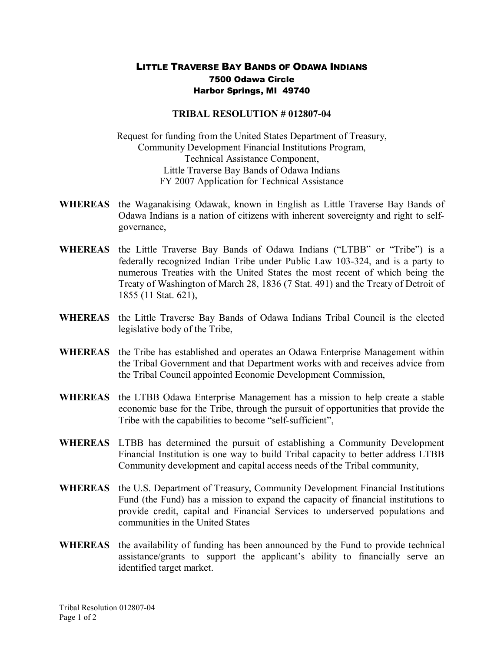## LITTLE TRAVERSE BAY BANDS OF ODAWA INDIANS 7500 Odawa Circle Harbor Springs, MI 49740

## **TRIBAL RESOLUTION # 012807-04**

Request for funding from the United States Department of Treasury, Community Development Financial Institutions Program, Technical Assistance Component, Little Traverse Bay Bands of Odawa Indians FY 2007 Application for Technical Assistance

- **WHEREAS** the Waganakising Odawak, known in English as Little Traverse Bay Bands of Odawa Indians is a nation of citizens with inherent sovereignty and right to self governance,
- **WHEREAS** the Little Traverse Bay Bands of Odawa Indians ("LTBB" or "Tribe") is a federally recognized Indian Tribe under Public Law 103-324, and is a party to numerous Treaties with the United States the most recent of which being the Treaty of Washington of March 28, 1836 (7 Stat. 491) and the Treaty of Detroit of 1855 (11 Stat. 621),
- **WHEREAS** the Little Traverse Bay Bands of Odawa Indians Tribal Council is the elected legislative body of the Tribe,
- **WHEREAS** the Tribe has established and operates an Odawa Enterprise Management within the Tribal Government and that Department works with and receives advice from the Tribal Council appointed Economic Development Commission,
- **WHEREAS** the LTBB Odawa Enterprise Management has a mission to help create a stable economic base for the Tribe, through the pursuit of opportunities that provide the Tribe with the capabilities to become "self-sufficient",
- **WHEREAS** LTBB has determined the pursuit of establishing a Community Development Financial Institution is one way to build Tribal capacity to better address LTBB Community development and capital access needs of the Tribal community,
- **WHEREAS** the U.S. Department of Treasury, Community Development Financial Institutions Fund (the Fund) has a mission to expand the capacity of financial institutions to provide credit, capital and Financial Services to underserved populations and communities in the United States
- **WHEREAS** the availability of funding has been announced by the Fund to provide technical assistance/grants to support the applicant's ability to financially serve an identified target market.